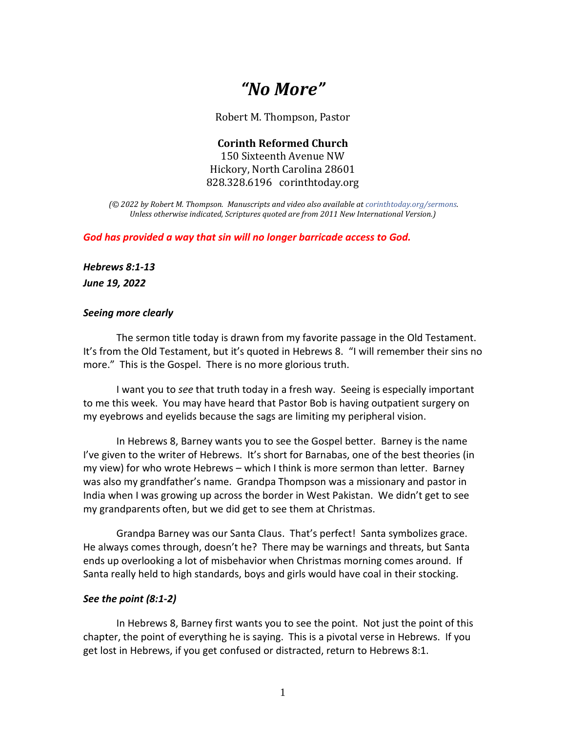# *"No More"*

Robert M. Thompson, Pastor

**Corinth Reformed Church** 150 Sixteenth Avenue NW Hickory, North Carolina 28601 828.328.6196 corinthtoday.org

*(© 2022 by Robert M. Thompson. Manuscripts and video also available a[t corinthtoday.org/sermons.](https://corinthtoday.org/sermons-2/) Unless otherwise indicated, Scriptures quoted are from 2011 New International Version.)*

*God has provided a way that sin will no longer barricade access to God.*

*Hebrews 8:1-13*

*June 19, 2022*

## *Seeing more clearly*

The sermon title today is drawn from my favorite passage in the Old Testament. It's from the Old Testament, but it's quoted in Hebrews 8. "I will remember their sins no more." This is the Gospel. There is no more glorious truth.

I want you to *see* that truth today in a fresh way. Seeing is especially important to me this week. You may have heard that Pastor Bob is having outpatient surgery on my eyebrows and eyelids because the sags are limiting my peripheral vision.

In Hebrews 8, Barney wants you to see the Gospel better. Barney is the name I've given to the writer of Hebrews. It's short for Barnabas, one of the best theories (in my view) for who wrote Hebrews – which I think is more sermon than letter. Barney was also my grandfather's name. Grandpa Thompson was a missionary and pastor in India when I was growing up across the border in West Pakistan. We didn't get to see my grandparents often, but we did get to see them at Christmas.

Grandpa Barney was our Santa Claus. That's perfect! Santa symbolizes grace. He always comes through, doesn't he? There may be warnings and threats, but Santa ends up overlooking a lot of misbehavior when Christmas morning comes around. If Santa really held to high standards, boys and girls would have coal in their stocking.

## *See the point (8:1-2)*

In Hebrews 8, Barney first wants you to see the point. Not just the point of this chapter, the point of everything he is saying. This is a pivotal verse in Hebrews. If you get lost in Hebrews, if you get confused or distracted, return to Hebrews 8:1.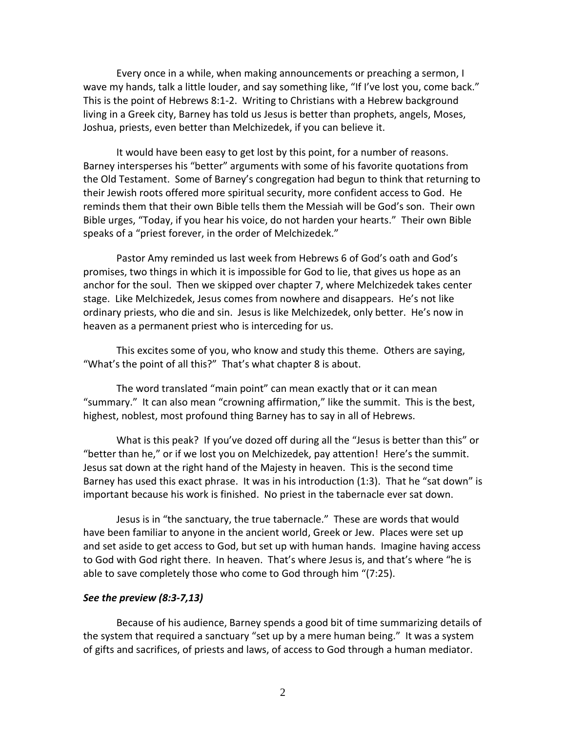Every once in a while, when making announcements or preaching a sermon, I wave my hands, talk a little louder, and say something like, "If I've lost you, come back." This is the point of Hebrews 8:1-2. Writing to Christians with a Hebrew background living in a Greek city, Barney has told us Jesus is better than prophets, angels, Moses, Joshua, priests, even better than Melchizedek, if you can believe it.

It would have been easy to get lost by this point, for a number of reasons. Barney intersperses his "better" arguments with some of his favorite quotations from the Old Testament. Some of Barney's congregation had begun to think that returning to their Jewish roots offered more spiritual security, more confident access to God. He reminds them that their own Bible tells them the Messiah will be God's son. Their own Bible urges, "Today, if you hear his voice, do not harden your hearts." Their own Bible speaks of a "priest forever, in the order of Melchizedek."

Pastor Amy reminded us last week from Hebrews 6 of God's oath and God's promises, two things in which it is impossible for God to lie, that gives us hope as an anchor for the soul. Then we skipped over chapter 7, where Melchizedek takes center stage. Like Melchizedek, Jesus comes from nowhere and disappears. He's not like ordinary priests, who die and sin. Jesus is like Melchizedek, only better. He's now in heaven as a permanent priest who is interceding for us.

This excites some of you, who know and study this theme. Others are saying, "What's the point of all this?" That's what chapter 8 is about.

The word translated "main point" can mean exactly that or it can mean "summary." It can also mean "crowning affirmation," like the summit. This is the best, highest, noblest, most profound thing Barney has to say in all of Hebrews.

What is this peak? If you've dozed off during all the "Jesus is better than this" or "better than he," or if we lost you on Melchizedek, pay attention! Here's the summit. Jesus sat down at the right hand of the Majesty in heaven. This is the second time Barney has used this exact phrase. It was in his introduction (1:3). That he "sat down" is important because his work is finished. No priest in the tabernacle ever sat down.

Jesus is in "the sanctuary, the true tabernacle." These are words that would have been familiar to anyone in the ancient world, Greek or Jew. Places were set up and set aside to get access to God, but set up with human hands. Imagine having access to God with God right there. In heaven. That's where Jesus is, and that's where "he is able to save completely those who come to God through him "(7:25).

#### *See the preview (8:3-7,13)*

Because of his audience, Barney spends a good bit of time summarizing details of the system that required a sanctuary "set up by a mere human being." It was a system of gifts and sacrifices, of priests and laws, of access to God through a human mediator.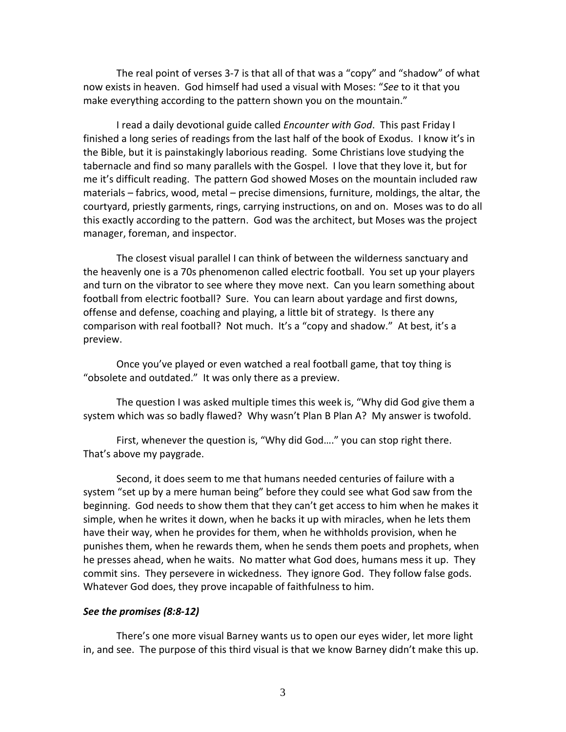The real point of verses 3-7 is that all of that was a "copy" and "shadow" of what now exists in heaven. God himself had used a visual with Moses: "*See* to it that you make everything according to the pattern shown you on the mountain."

I read a daily devotional guide called *Encounter with God*. This past Friday I finished a long series of readings from the last half of the book of Exodus. I know it's in the Bible, but it is painstakingly laborious reading. Some Christians love studying the tabernacle and find so many parallels with the Gospel. I love that they love it, but for me it's difficult reading. The pattern God showed Moses on the mountain included raw materials – fabrics, wood, metal – precise dimensions, furniture, moldings, the altar, the courtyard, priestly garments, rings, carrying instructions, on and on. Moses was to do all this exactly according to the pattern. God was the architect, but Moses was the project manager, foreman, and inspector.

The closest visual parallel I can think of between the wilderness sanctuary and the heavenly one is a 70s phenomenon called electric football. You set up your players and turn on the vibrator to see where they move next. Can you learn something about football from electric football? Sure. You can learn about yardage and first downs, offense and defense, coaching and playing, a little bit of strategy. Is there any comparison with real football? Not much. It's a "copy and shadow." At best, it's a preview.

Once you've played or even watched a real football game, that toy thing is "obsolete and outdated." It was only there as a preview.

The question I was asked multiple times this week is, "Why did God give them a system which was so badly flawed? Why wasn't Plan B Plan A? My answer is twofold.

First, whenever the question is, "Why did God…." you can stop right there. That's above my paygrade.

Second, it does seem to me that humans needed centuries of failure with a system "set up by a mere human being" before they could see what God saw from the beginning. God needs to show them that they can't get access to him when he makes it simple, when he writes it down, when he backs it up with miracles, when he lets them have their way, when he provides for them, when he withholds provision, when he punishes them, when he rewards them, when he sends them poets and prophets, when he presses ahead, when he waits. No matter what God does, humans mess it up. They commit sins. They persevere in wickedness. They ignore God. They follow false gods. Whatever God does, they prove incapable of faithfulness to him.

## *See the promises (8:8-12)*

There's one more visual Barney wants us to open our eyes wider, let more light in, and see. The purpose of this third visual is that we know Barney didn't make this up.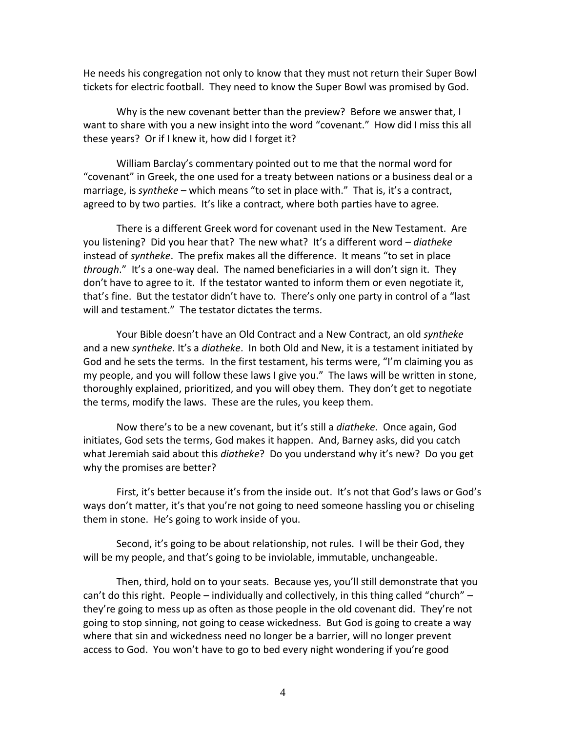He needs his congregation not only to know that they must not return their Super Bowl tickets for electric football. They need to know the Super Bowl was promised by God.

Why is the new covenant better than the preview? Before we answer that, I want to share with you a new insight into the word "covenant." How did I miss this all these years? Or if I knew it, how did I forget it?

William Barclay's commentary pointed out to me that the normal word for "covenant" in Greek, the one used for a treaty between nations or a business deal or a marriage, is *syntheke* – which means "to set in place with." That is, it's a contract, agreed to by two parties. It's like a contract, where both parties have to agree.

There is a different Greek word for covenant used in the New Testament. Are you listening? Did you hear that? The new what? It's a different word – *diatheke* instead of *syntheke*. The prefix makes all the difference. It means "to set in place *through*." It's a one-way deal. The named beneficiaries in a will don't sign it. They don't have to agree to it. If the testator wanted to inform them or even negotiate it, that's fine. But the testator didn't have to. There's only one party in control of a "last will and testament." The testator dictates the terms.

Your Bible doesn't have an Old Contract and a New Contract, an old *syntheke* and a new *syntheke*. It's a *diatheke*. In both Old and New, it is a testament initiated by God and he sets the terms. In the first testament, his terms were, "I'm claiming you as my people, and you will follow these laws I give you." The laws will be written in stone, thoroughly explained, prioritized, and you will obey them. They don't get to negotiate the terms, modify the laws. These are the rules, you keep them.

Now there's to be a new covenant, but it's still a *diatheke*. Once again, God initiates, God sets the terms, God makes it happen. And, Barney asks, did you catch what Jeremiah said about this *diatheke*? Do you understand why it's new? Do you get why the promises are better?

First, it's better because it's from the inside out. It's not that God's laws or God's ways don't matter, it's that you're not going to need someone hassling you or chiseling them in stone. He's going to work inside of you.

Second, it's going to be about relationship, not rules. I will be their God, they will be my people, and that's going to be inviolable, immutable, unchangeable.

Then, third, hold on to your seats. Because yes, you'll still demonstrate that you can't do this right. People – individually and collectively, in this thing called "church" – they're going to mess up as often as those people in the old covenant did. They're not going to stop sinning, not going to cease wickedness. But God is going to create a way where that sin and wickedness need no longer be a barrier, will no longer prevent access to God. You won't have to go to bed every night wondering if you're good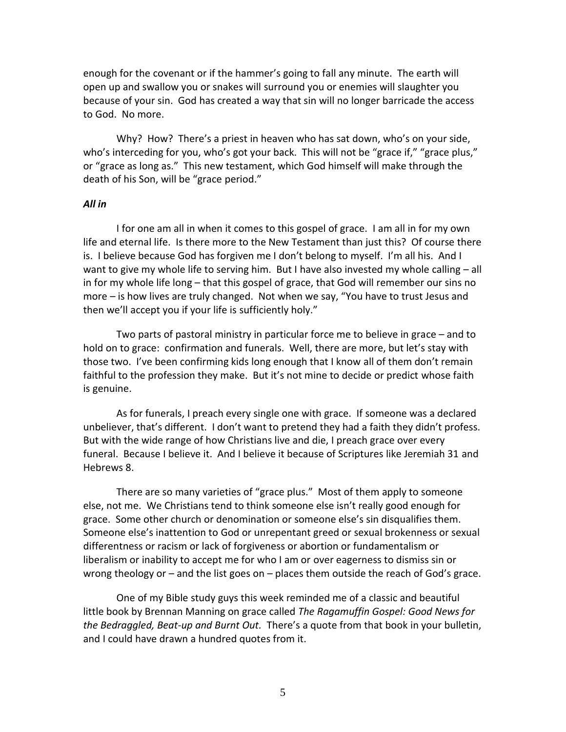enough for the covenant or if the hammer's going to fall any minute. The earth will open up and swallow you or snakes will surround you or enemies will slaughter you because of your sin. God has created a way that sin will no longer barricade the access to God. No more.

Why? How? There's a priest in heaven who has sat down, who's on your side, who's interceding for you, who's got your back. This will not be "grace if," "grace plus," or "grace as long as." This new testament, which God himself will make through the death of his Son, will be "grace period."

## *All in*

I for one am all in when it comes to this gospel of grace. I am all in for my own life and eternal life. Is there more to the New Testament than just this? Of course there is. I believe because God has forgiven me I don't belong to myself. I'm all his. And I want to give my whole life to serving him. But I have also invested my whole calling – all in for my whole life long – that this gospel of grace, that God will remember our sins no more – is how lives are truly changed. Not when we say, "You have to trust Jesus and then we'll accept you if your life is sufficiently holy."

Two parts of pastoral ministry in particular force me to believe in grace – and to hold on to grace: confirmation and funerals. Well, there are more, but let's stay with those two. I've been confirming kids long enough that I know all of them don't remain faithful to the profession they make. But it's not mine to decide or predict whose faith is genuine.

As for funerals, I preach every single one with grace. If someone was a declared unbeliever, that's different. I don't want to pretend they had a faith they didn't profess. But with the wide range of how Christians live and die, I preach grace over every funeral. Because I believe it. And I believe it because of Scriptures like Jeremiah 31 and Hebrews 8.

There are so many varieties of "grace plus." Most of them apply to someone else, not me. We Christians tend to think someone else isn't really good enough for grace. Some other church or denomination or someone else's sin disqualifies them. Someone else's inattention to God or unrepentant greed or sexual brokenness or sexual differentness or racism or lack of forgiveness or abortion or fundamentalism or liberalism or inability to accept me for who I am or over eagerness to dismiss sin or wrong theology or – and the list goes on – places them outside the reach of God's grace.

One of my Bible study guys this week reminded me of a classic and beautiful little book by Brennan Manning on grace called *The Ragamuffin Gospel: Good News for the Bedraggled, Beat-up and Burnt Out.* There's a quote from that book in your bulletin, and I could have drawn a hundred quotes from it.